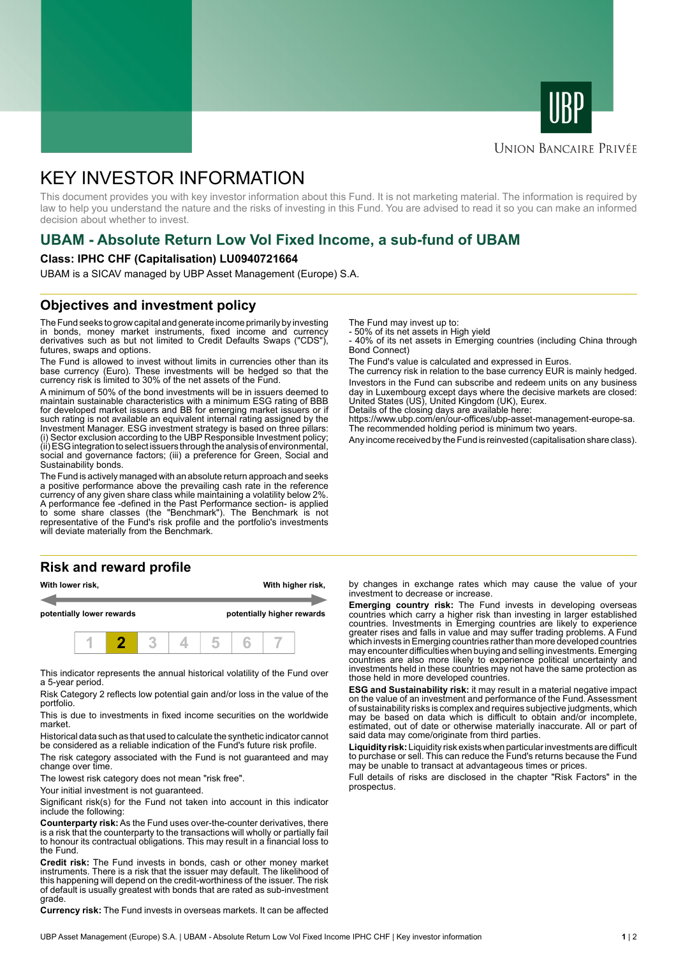



### **UNION BANCAIRE PRIVÉE**

# KEY INVESTOR INFORMATION

This document provides you with key investor information about this Fund. It is not marketing material. The information is required by law to help you understand the nature and the risks of investing in this Fund. You are advised to read it so you can make an informed decision about whether to invest.

### **UBAM - Absolute Return Low Vol Fixed Income, a sub-fund of UBAM**

### **Class: IPHC CHF (Capitalisation) LU0940721664**

UBAM is a SICAV managed by UBP Asset Management (Europe) S.A.

### **Objectives and investment policy**

The Fund seeks to grow capital and generate income primarily by investing in bonds, money market instruments, fixed income and currency derivatives such as but not limited to Credit Defaults Swaps ("CDS"), futures, swaps and options.

The Fund is allowed to invest without limits in currencies other than its base currency (Euro). These investments will be hedged so that the currency risk is limited to 30% of the net assets of the Fund.

A minimum of 50% of the bond investments will be in issuers deemed to maintain sustainable characteristics with a minimum ESG rating of BBB for developed market issuers and BB for emerging market issuers or if such rating is not available an equivalent internal rating assigned by the Investment Manager. ESG investment strategy is based on three pillars: (i) Sector exclusion according to the UBP Responsible Investment policy; (ii) ESG integration to select issuers through the analysis of environmental, social and governance factors; (iii) a preference for Green, Social and Sustainability bonds.

The Fund is actively managed with an absolute return approach and seeks a positive performance above the prevailing cash rate in the reference currency of any given share class while maintaining a volatility below 2%. A performance fee -defined in the Past Performance section- is applied to some share classes (the "Benchmark"). The Benchmark is not representative of the Fund's risk profile and the portfolio's investments will deviate materially from the Benchmark.

### **Risk and reward profile**

| With lower risk,          |  |  |  |  | With higher risk,          |  |  |  |  |
|---------------------------|--|--|--|--|----------------------------|--|--|--|--|
| potentially lower rewards |  |  |  |  | potentially higher rewards |  |  |  |  |
|                           |  |  |  |  |                            |  |  |  |  |

This indicator represents the annual historical volatility of the Fund over a 5-year period.

Risk Category 2 reflects low potential gain and/or loss in the value of the portfolio.

This is due to investments in fixed income securities on the worldwide market.

Historical data such as that used to calculate the synthetic indicator cannot be considered as a reliable indication of the Fund's future risk profile.

The risk category associated with the Fund is not guaranteed and may change over time.

The lowest risk category does not mean "risk free".

Your initial investment is not guaranteed.

Significant risk(s) for the Fund not taken into account in this indicator include the following:

**Counterparty risk:** As the Fund uses over-the-counter derivatives, there is a risk that the counterparty to the transactions will wholly or partially fail to honour its contractual obligations. This may result in a financial loss to the Fund.

**Credit risk:** The Fund invests in bonds, cash or other money market instruments. There is a risk that the issuer may default. The likelihood of this happening will depend on the credit-worthiness of the issuer. The risk of default is usually greatest with bonds that are rated as sub-investment grade.

**Currency risk:** The Fund invests in overseas markets. It can be affected

The Fund may invest up to:

- 50% of its net assets in High yield

- 40% of its net assets in Emerging countries (including China through Bond Connect)

The Fund's value is calculated and expressed in Euros.

The currency risk in relation to the base currency EUR is mainly hedged. Investors in the Fund can subscribe and redeem units on any business day in Luxembourg except days where the decisive markets are closed: United States (US), United Kingdom (UK), Eurex.

Details of the closing days are available here:

https://www.ubp.com/en/our-offices/ubp-asset-management-europe-sa. The recommended holding period is minimum two years.

Any income received by the Fund is reinvested (capitalisation share class).

by changes in exchange rates which may cause the value of your investment to decrease or increase.

**Emerging country risk:** The Fund invests in developing overseas countries which carry a higher risk than investing in larger established countries. Investments in Emerging countries are likely to experience greater rises and falls in value and may suffer trading problems. A Fund which invests in Emerging countries rather than more developed countries may encounter difficulties when buying and selling investments. Emerging countries are also more likely to experience political uncertainty and investments held in these countries may not have the same protection as those held in more developed countries.

**ESG and Sustainability risk:** it may result in a material negative impact on the value of an investment and performance of the Fund. Assessment of sustainability risks is complex and requires subjective judgments, which may be based on data which is difficult to obtain and/or incomplete, estimated, out of date or otherwise materially inaccurate. All or part of said data may come/originate from third parties.

**Liquidity risk:** Liquidity risk exists when particular investments are difficult to purchase or sell. This can reduce the Fund's returns because the Fund may be unable to transact at advantageous times or prices.

Full details of risks are disclosed in the chapter "Risk Factors" in the prospectus.